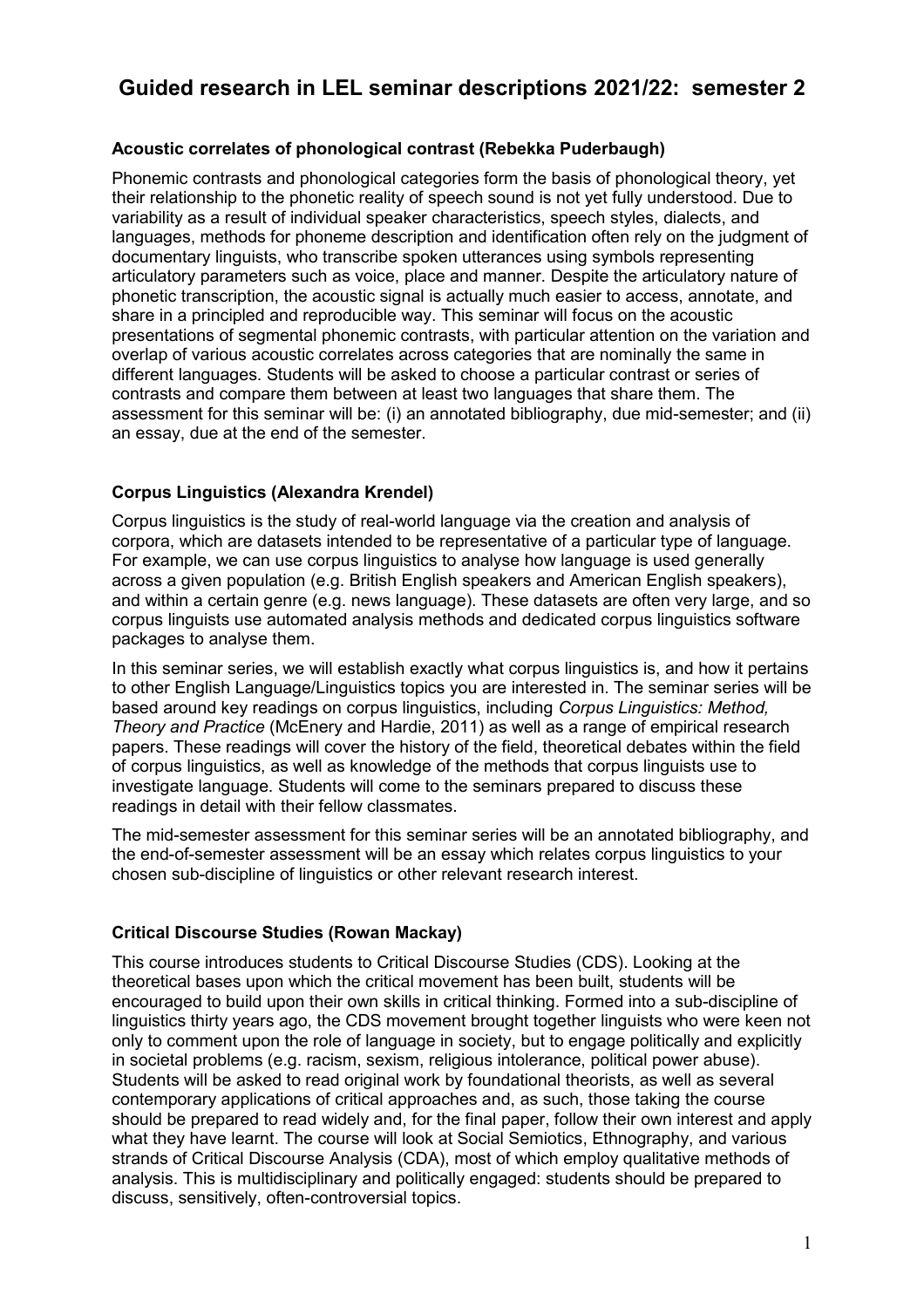# **Guided research in LEL seminar descriptions 2021/22: semester 2**

## **Acoustic correlates of phonological contrast (Rebekka Puderbaugh)**

Phonemic contrasts and phonological categories form the basis of phonological theory, yet their relationship to the phonetic reality of speech sound is not yet fully understood. Due to variability as a result of individual speaker characteristics, speech styles, dialects, and languages, methods for phoneme description and identification often rely on the judgment of documentary linguists, who transcribe spoken utterances using symbols representing articulatory parameters such as voice, place and manner. Despite the articulatory nature of phonetic transcription, the acoustic signal is actually much easier to access, annotate, and share in a principled and reproducible way. This seminar will focus on the acoustic presentations of segmental phonemic contrasts, with particular attention on the variation and overlap of various acoustic correlates across categories that are nominally the same in different languages. Students will be asked to choose a particular contrast or series of contrasts and compare them between at least two languages that share them. The assessment for this seminar will be: (i) an annotated bibliography, due mid-semester; and (ii) an essay, due at the end of the semester.

# **Corpus Linguistics (Alexandra Krendel)**

Corpus linguistics is the study of real-world language via the creation and analysis of corpora, which are datasets intended to be representative of a particular type of language. For example, we can use corpus linguistics to analyse how language is used generally across a given population (e.g. British English speakers and American English speakers), and within a certain genre (e.g. news language). These datasets are often very large, and so corpus linguists use automated analysis methods and dedicated corpus linguistics software packages to analyse them.

In this seminar series, we will establish exactly what corpus linguistics is, and how it pertains to other English Language/Linguistics topics you are interested in. The seminar series will be based around key readings on corpus linguistics, including *Corpus Linguistics: Method, Theory and Practice* (McEnery and Hardie, 2011) as well as a range of empirical research papers. These readings will cover the history of the field, theoretical debates within the field of corpus linguistics, as well as knowledge of the methods that corpus linguists use to investigate language. Students will come to the seminars prepared to discuss these readings in detail with their fellow classmates.

The mid-semester assessment for this seminar series will be an annotated bibliography, and the end-of-semester assessment will be an essay which relates corpus linguistics to your chosen sub-discipline of linguistics or other relevant research interest.

# **Critical Discourse Studies (Rowan Mackay)**

This course introduces students to Critical Discourse Studies (CDS). Looking at the theoretical bases upon which the critical movement has been built, students will be encouraged to build upon their own skills in critical thinking. Formed into a sub-discipline of linguistics thirty years ago, the CDS movement brought together linguists who were keen not only to comment upon the role of language in society, but to engage politically and explicitly in societal problems (e.g. racism, sexism, religious intolerance, political power abuse). Students will be asked to read original work by foundational theorists, as well as several contemporary applications of critical approaches and, as such, those taking the course should be prepared to read widely and, for the final paper, follow their own interest and apply what they have learnt. The course will look at Social Semiotics, Ethnography, and various strands of Critical Discourse Analysis (CDA), most of which employ qualitative methods of analysis. This is multidisciplinary and politically engaged: students should be prepared to discuss, sensitively, often-controversial topics.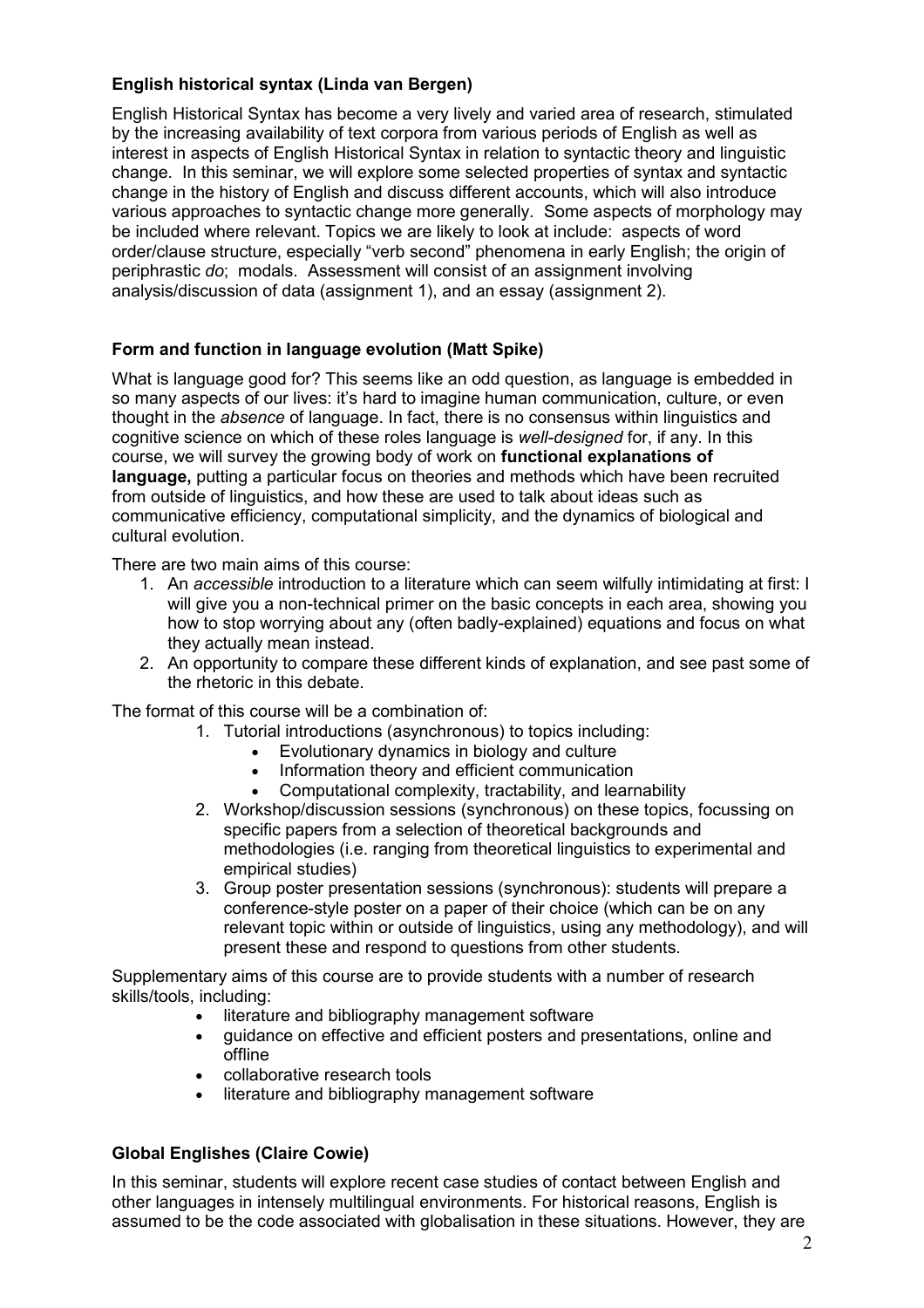# **English historical syntax (Linda van Bergen)**

English Historical Syntax has become a very lively and varied area of research, stimulated by the increasing availability of text corpora from various periods of English as well as interest in aspects of English Historical Syntax in relation to syntactic theory and linguistic change. In this seminar, we will explore some selected properties of syntax and syntactic change in the history of English and discuss different accounts, which will also introduce various approaches to syntactic change more generally. Some aspects of morphology may be included where relevant. Topics we are likely to look at include: aspects of word order/clause structure, especially "verb second" phenomena in early English; the origin of periphrastic *do*; modals. Assessment will consist of an assignment involving analysis/discussion of data (assignment 1), and an essay (assignment 2).

# **Form and function in language evolution (Matt Spike)**

What is language good for? This seems like an odd question, as language is embedded in so many aspects of our lives: it's hard to imagine human communication, culture, or even thought in the *absence* of language. In fact, there is no consensus within linguistics and cognitive science on which of these roles language is *well-designed* for, if any. In this course, we will survey the growing body of work on **functional explanations of language,** putting a particular focus on theories and methods which have been recruited from outside of linguistics, and how these are used to talk about ideas such as communicative efficiency, computational simplicity, and the dynamics of biological and cultural evolution.

There are two main aims of this course:

- 1. An *accessible* introduction to a literature which can seem wilfully intimidating at first: I will give you a non-technical primer on the basic concepts in each area, showing you how to stop worrying about any (often badly-explained) equations and focus on what they actually mean instead.
- 2. An opportunity to compare these different kinds of explanation, and see past some of the rhetoric in this debate.

The format of this course will be a combination of:

- 1. Tutorial introductions (asynchronous) to topics including:
	- Evolutionary dynamics in biology and culture
	- Information theory and efficient communication
	- Computational complexity, tractability, and learnability
- 2. Workshop/discussion sessions (synchronous) on these topics, focussing on specific papers from a selection of theoretical backgrounds and methodologies (i.e. ranging from theoretical linguistics to experimental and empirical studies)
- 3. Group poster presentation sessions (synchronous): students will prepare a conference-style poster on a paper of their choice (which can be on any relevant topic within or outside of linguistics, using any methodology), and will present these and respond to questions from other students.

Supplementary aims of this course are to provide students with a number of research skills/tools, including:

- literature and bibliography management software
- guidance on effective and efficient posters and presentations, online and offline
- collaborative research tools
- literature and bibliography management software

# **Global Englishes (Claire Cowie)**

In this seminar, students will explore recent case studies of contact between English and other languages in intensely multilingual environments. For historical reasons, English is assumed to be the code associated with globalisation in these situations. However, they are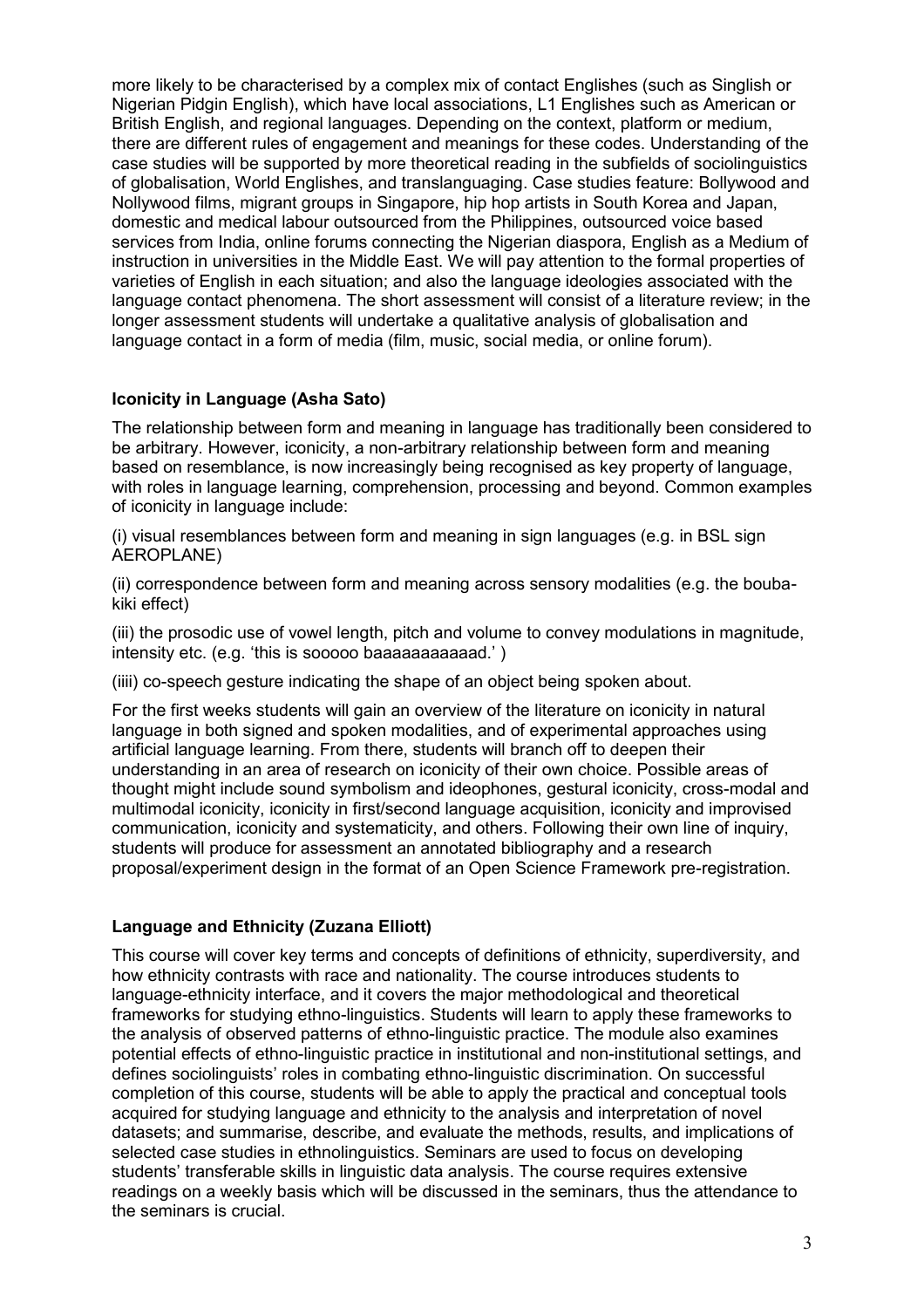more likely to be characterised by a complex mix of contact Englishes (such as Singlish or Nigerian Pidgin English), which have local associations, L1 Englishes such as American or British English, and regional languages. Depending on the context, platform or medium, there are different rules of engagement and meanings for these codes. Understanding of the case studies will be supported by more theoretical reading in the subfields of sociolinguistics of globalisation, World Englishes, and translanguaging. Case studies feature: Bollywood and Nollywood films, migrant groups in Singapore, hip hop artists in South Korea and Japan, domestic and medical labour outsourced from the Philippines, outsourced voice based services from India, online forums connecting the Nigerian diaspora, English as a Medium of instruction in universities in the Middle East. We will pay attention to the formal properties of varieties of English in each situation; and also the language ideologies associated with the language contact phenomena. The short assessment will consist of a literature review; in the longer assessment students will undertake a qualitative analysis of globalisation and language contact in a form of media (film, music, social media, or online forum).

## **Iconicity in Language (Asha Sato)**

The relationship between form and meaning in language has traditionally been considered to be arbitrary. However, iconicity, a non-arbitrary relationship between form and meaning based on resemblance, is now increasingly being recognised as key property of language, with roles in language learning, comprehension, processing and beyond. Common examples of iconicity in language include:

(i) visual resemblances between form and meaning in sign languages (e.g. in BSL sign AEROPLANE)

(ii) correspondence between form and meaning across sensory modalities (e.g. the boubakiki effect)

(iii) the prosodic use of vowel length, pitch and volume to convey modulations in magnitude, intensity etc. (e.g. 'this is sooooo baaaaaaaaaaad.' )

(iiii) co-speech gesture indicating the shape of an object being spoken about.

For the first weeks students will gain an overview of the literature on iconicity in natural language in both signed and spoken modalities, and of experimental approaches using artificial language learning. From there, students will branch off to deepen their understanding in an area of research on iconicity of their own choice. Possible areas of thought might include sound symbolism and ideophones, gestural iconicity, cross-modal and multimodal iconicity, iconicity in first/second language acquisition, iconicity and improvised communication, iconicity and systematicity, and others. Following their own line of inquiry, students will produce for assessment an annotated bibliography and a research proposal/experiment design in the format of an Open Science Framework pre-registration.

### **Language and Ethnicity (Zuzana Elliott)**

This course will cover key terms and concepts of definitions of ethnicity, superdiversity, and how ethnicity contrasts with race and nationality. The course introduces students to language-ethnicity interface, and it covers the major methodological and theoretical frameworks for studying ethno-linguistics. Students will learn to apply these frameworks to the analysis of observed patterns of ethno-linguistic practice. The module also examines potential effects of ethno-linguistic practice in institutional and non-institutional settings, and defines sociolinguists' roles in combating ethno-linguistic discrimination. On successful completion of this course, students will be able to apply the practical and conceptual tools acquired for studying language and ethnicity to the analysis and interpretation of novel datasets; and summarise, describe, and evaluate the methods, results, and implications of selected case studies in ethnolinguistics. Seminars are used to focus on developing students' transferable skills in linguistic data analysis. The course requires extensive readings on a weekly basis which will be discussed in the seminars, thus the attendance to the seminars is crucial.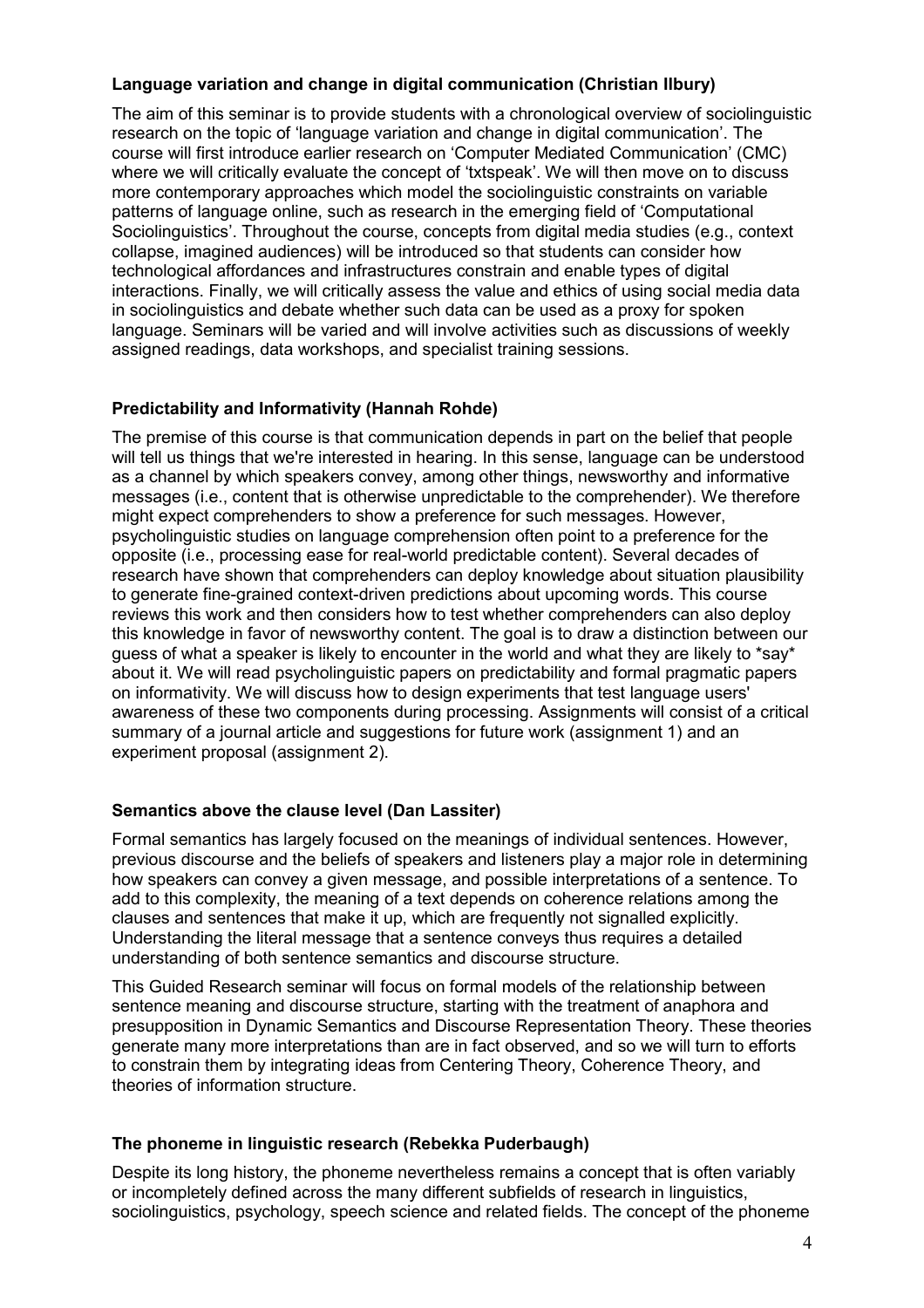# **Language variation and change in digital communication (Christian Ilbury)**

The aim of this seminar is to provide students with a chronological overview of sociolinguistic research on the topic of 'language variation and change in digital communication'. The course will first introduce earlier research on 'Computer Mediated Communication' (CMC) where we will critically evaluate the concept of 'txtspeak'. We will then move on to discuss more contemporary approaches which model the sociolinguistic constraints on variable patterns of language online, such as research in the emerging field of 'Computational Sociolinguistics'. Throughout the course, concepts from digital media studies (e.g., context collapse, imagined audiences) will be introduced so that students can consider how technological affordances and infrastructures constrain and enable types of digital interactions. Finally, we will critically assess the value and ethics of using social media data in sociolinguistics and debate whether such data can be used as a proxy for spoken language. Seminars will be varied and will involve activities such as discussions of weekly assigned readings, data workshops, and specialist training sessions.

## **Predictability and Informativity (Hannah Rohde)**

The premise of this course is that communication depends in part on the belief that people will tell us things that we're interested in hearing. In this sense, language can be understood as a channel by which speakers convey, among other things, newsworthy and informative messages (i.e., content that is otherwise unpredictable to the comprehender). We therefore might expect comprehenders to show a preference for such messages. However, psycholinguistic studies on language comprehension often point to a preference for the opposite (i.e., processing ease for real-world predictable content). Several decades of research have shown that comprehenders can deploy knowledge about situation plausibility to generate fine-grained context-driven predictions about upcoming words. This course reviews this work and then considers how to test whether comprehenders can also deploy this knowledge in favor of newsworthy content. The goal is to draw a distinction between our guess of what a speaker is likely to encounter in the world and what they are likely to \*say\* about it. We will read psycholinguistic papers on predictability and formal pragmatic papers on informativity. We will discuss how to design experiments that test language users' awareness of these two components during processing. Assignments will consist of a critical summary of a journal article and suggestions for future work (assignment 1) and an experiment proposal (assignment 2).

### **Semantics above the clause level (Dan Lassiter)**

Formal semantics has largely focused on the meanings of individual sentences. However, previous discourse and the beliefs of speakers and listeners play a major role in determining how speakers can convey a given message, and possible interpretations of a sentence. To add to this complexity, the meaning of a text depends on coherence relations among the clauses and sentences that make it up, which are frequently not signalled explicitly. Understanding the literal message that a sentence conveys thus requires a detailed understanding of both sentence semantics and discourse structure.

This Guided Research seminar will focus on formal models of the relationship between sentence meaning and discourse structure, starting with the treatment of anaphora and presupposition in Dynamic Semantics and Discourse Representation Theory. These theories generate many more interpretations than are in fact observed, and so we will turn to efforts to constrain them by integrating ideas from Centering Theory, Coherence Theory, and theories of information structure.

### **The phoneme in linguistic research (Rebekka Puderbaugh)**

Despite its long history, the phoneme nevertheless remains a concept that is often variably or incompletely defined across the many different subfields of research in linguistics, sociolinguistics, psychology, speech science and related fields. The concept of the phoneme